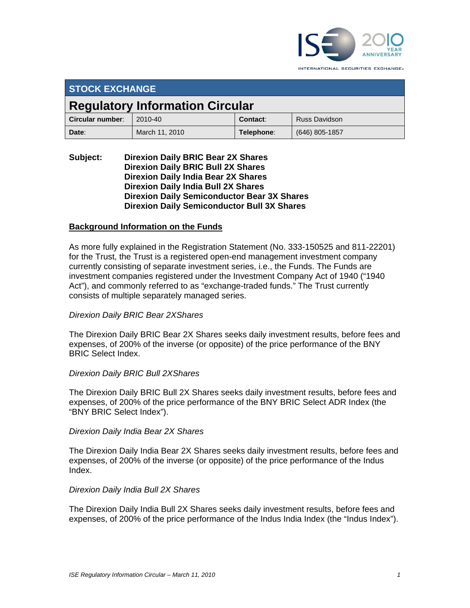

INTERNATIONAL SECURITIES EXCHANGE.

| <b>STOCK EXCHANGE</b>                  |                |            |                      |  |
|----------------------------------------|----------------|------------|----------------------|--|
| <b>Regulatory Information Circular</b> |                |            |                      |  |
| Circular number:                       | 2010-40        | Contact:   | <b>Russ Davidson</b> |  |
| Date:                                  | March 11, 2010 | Telephone: | (646) 805-1857       |  |

### **Subject: Direxion Daily BRIC Bear 2X Shares Direxion Daily BRIC Bull 2X Shares Direxion Daily India Bear 2X Shares Direxion Daily India Bull 2X Shares Direxion Daily Semiconductor Bear 3X Shares Direxion Daily Semiconductor Bull 3X Shares**

### **Background Information on the Funds**

As more fully explained in the Registration Statement (No. 333-150525 and 811-22201) for the Trust, the Trust is a registered open-end management investment company currently consisting of separate investment series, i.e., the Funds. The Funds are investment companies registered under the Investment Company Act of 1940 ("1940 Act"), and commonly referred to as "exchange-traded funds." The Trust currently consists of multiple separately managed series.

#### *Direxion Daily BRIC Bear 2XShares*

The Direxion Daily BRIC Bear 2X Shares seeks daily investment results, before fees and expenses, of 200% of the inverse (or opposite) of the price performance of the BNY BRIC Select Index.

#### *Direxion Daily BRIC Bull 2XShares*

The Direxion Daily BRIC Bull 2X Shares seeks daily investment results, before fees and expenses, of 200% of the price performance of the BNY BRIC Select ADR Index (the "BNY BRIC Select Index").

#### *Direxion Daily India Bear 2X Shares*

The Direxion Daily India Bear 2X Shares seeks daily investment results, before fees and expenses, of 200% of the inverse (or opposite) of the price performance of the Indus Index.

#### *Direxion Daily India Bull 2X Shares*

The Direxion Daily India Bull 2X Shares seeks daily investment results, before fees and expenses, of 200% of the price performance of the Indus India Index (the "Indus Index").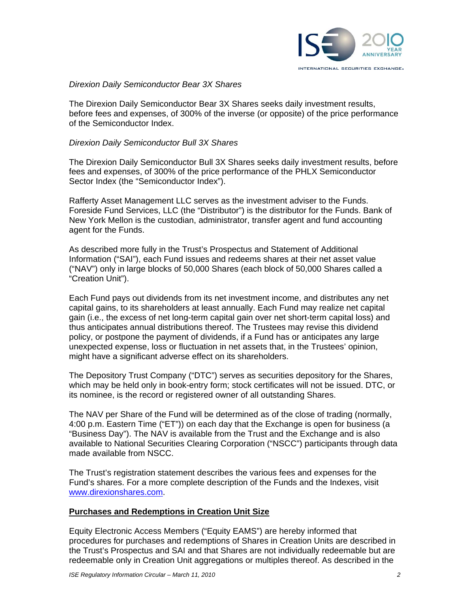

### *Direxion Daily Semiconductor Bear 3X Shares*

The Direxion Daily Semiconductor Bear 3X Shares seeks daily investment results, before fees and expenses, of 300% of the inverse (or opposite) of the price performance of the Semiconductor Index.

#### *Direxion Daily Semiconductor Bull 3X Shares*

The Direxion Daily Semiconductor Bull 3X Shares seeks daily investment results, before fees and expenses, of 300% of the price performance of the PHLX Semiconductor Sector Index (the "Semiconductor Index").

Rafferty Asset Management LLC serves as the investment adviser to the Funds. Foreside Fund Services, LLC (the "Distributor") is the distributor for the Funds. Bank of New York Mellon is the custodian, administrator, transfer agent and fund accounting agent for the Funds.

As described more fully in the Trust's Prospectus and Statement of Additional Information ("SAI"), each Fund issues and redeems shares at their net asset value ("NAV") only in large blocks of 50,000 Shares (each block of 50,000 Shares called a "Creation Unit").

Each Fund pays out dividends from its net investment income, and distributes any net capital gains, to its shareholders at least annually. Each Fund may realize net capital gain (i.e., the excess of net long-term capital gain over net short-term capital loss) and thus anticipates annual distributions thereof. The Trustees may revise this dividend policy, or postpone the payment of dividends, if a Fund has or anticipates any large unexpected expense, loss or fluctuation in net assets that, in the Trustees' opinion, might have a significant adverse effect on its shareholders.

The Depository Trust Company ("DTC") serves as securities depository for the Shares, which may be held only in book-entry form; stock certificates will not be issued. DTC, or its nominee, is the record or registered owner of all outstanding Shares.

The NAV per Share of the Fund will be determined as of the close of trading (normally, 4:00 p.m. Eastern Time ("ET")) on each day that the Exchange is open for business (a "Business Day"). The NAV is available from the Trust and the Exchange and is also available to National Securities Clearing Corporation ("NSCC") participants through data made available from NSCC.

The Trust's registration statement describes the various fees and expenses for the Fund's shares. For a more complete description of the Funds and the Indexes, visit www.direxionshares.com.

#### **Purchases and Redemptions in Creation Unit Size**

Equity Electronic Access Members ("Equity EAMS") are hereby informed that procedures for purchases and redemptions of Shares in Creation Units are described in the Trust's Prospectus and SAI and that Shares are not individually redeemable but are redeemable only in Creation Unit aggregations or multiples thereof. As described in the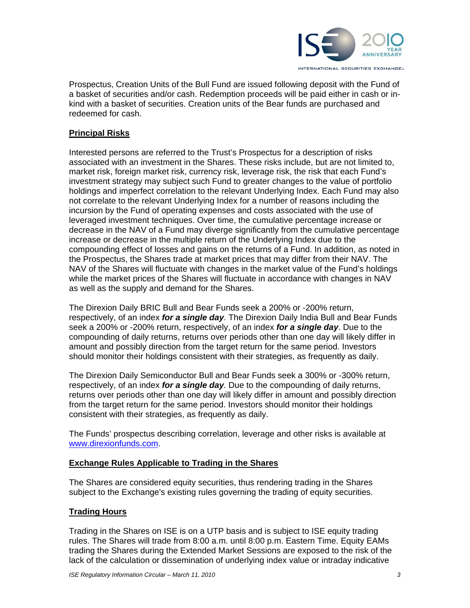

Prospectus, Creation Units of the Bull Fund are issued following deposit with the Fund of a basket of securities and/or cash. Redemption proceeds will be paid either in cash or inkind with a basket of securities. Creation units of the Bear funds are purchased and redeemed for cash.

# **Principal Risks**

Interested persons are referred to the Trust's Prospectus for a description of risks associated with an investment in the Shares. These risks include, but are not limited to, market risk, foreign market risk, currency risk, leverage risk, the risk that each Fund's investment strategy may subject such Fund to greater changes to the value of portfolio holdings and imperfect correlation to the relevant Underlying Index. Each Fund may also not correlate to the relevant Underlying Index for a number of reasons including the incursion by the Fund of operating expenses and costs associated with the use of leveraged investment techniques. Over time, the cumulative percentage increase or decrease in the NAV of a Fund may diverge significantly from the cumulative percentage increase or decrease in the multiple return of the Underlying Index due to the compounding effect of losses and gains on the returns of a Fund. In addition, as noted in the Prospectus, the Shares trade at market prices that may differ from their NAV. The NAV of the Shares will fluctuate with changes in the market value of the Fund's holdings while the market prices of the Shares will fluctuate in accordance with changes in NAV as well as the supply and demand for the Shares.

The Direxion Daily BRIC Bull and Bear Funds seek a 200% or -200% return, respectively, of an index *for a single day.* The Direxion Daily India Bull and Bear Funds seek a 200% or -200% return, respectively, of an index *for a single day*. Due to the compounding of daily returns, returns over periods other than one day will likely differ in amount and possibly direction from the target return for the same period. Investors should monitor their holdings consistent with their strategies, as frequently as daily.

The Direxion Daily Semiconductor Bull and Bear Funds seek a 300% or -300% return, respectively, of an index *for a single day.* Due to the compounding of daily returns, returns over periods other than one day will likely differ in amount and possibly direction from the target return for the same period. Investors should monitor their holdings consistent with their strategies, as frequently as daily.

The Funds' prospectus describing correlation, leverage and other risks is available at www.direxionfunds.com.

## **Exchange Rules Applicable to Trading in the Shares**

The Shares are considered equity securities, thus rendering trading in the Shares subject to the Exchange's existing rules governing the trading of equity securities.

## **Trading Hours**

Trading in the Shares on ISE is on a UTP basis and is subject to ISE equity trading rules. The Shares will trade from 8:00 a.m. until 8:00 p.m. Eastern Time. Equity EAMs trading the Shares during the Extended Market Sessions are exposed to the risk of the lack of the calculation or dissemination of underlying index value or intraday indicative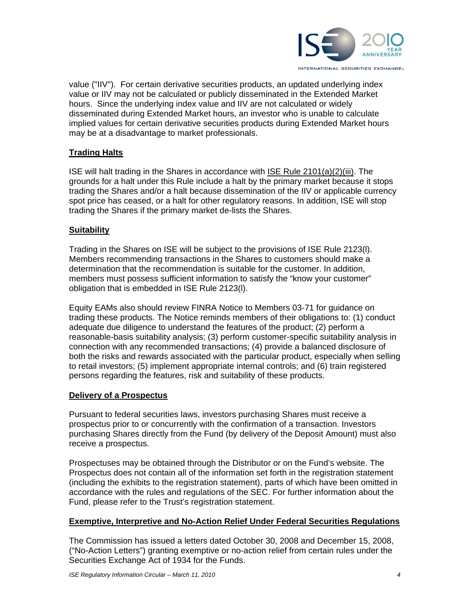

value ("IIV"). For certain derivative securities products, an updated underlying index value or IIV may not be calculated or publicly disseminated in the Extended Market hours. Since the underlying index value and IIV are not calculated or widely disseminated during Extended Market hours, an investor who is unable to calculate implied values for certain derivative securities products during Extended Market hours may be at a disadvantage to market professionals.

# **Trading Halts**

ISE will halt trading in the Shares in accordance with ISE Rule 2101(a)(2)(iii). The grounds for a halt under this Rule include a halt by the primary market because it stops trading the Shares and/or a halt because dissemination of the IIV or applicable currency spot price has ceased, or a halt for other regulatory reasons. In addition, ISE will stop trading the Shares if the primary market de-lists the Shares.

## **Suitability**

Trading in the Shares on ISE will be subject to the provisions of ISE Rule 2123(l). Members recommending transactions in the Shares to customers should make a determination that the recommendation is suitable for the customer. In addition, members must possess sufficient information to satisfy the "know your customer" obligation that is embedded in ISE Rule 2123(l).

Equity EAMs also should review FINRA Notice to Members 03-71 for guidance on trading these products. The Notice reminds members of their obligations to: (1) conduct adequate due diligence to understand the features of the product; (2) perform a reasonable-basis suitability analysis; (3) perform customer-specific suitability analysis in connection with any recommended transactions; (4) provide a balanced disclosure of both the risks and rewards associated with the particular product, especially when selling to retail investors; (5) implement appropriate internal controls; and (6) train registered persons regarding the features, risk and suitability of these products.

## **Delivery of a Prospectus**

Pursuant to federal securities laws, investors purchasing Shares must receive a prospectus prior to or concurrently with the confirmation of a transaction. Investors purchasing Shares directly from the Fund (by delivery of the Deposit Amount) must also receive a prospectus.

Prospectuses may be obtained through the Distributor or on the Fund's website. The Prospectus does not contain all of the information set forth in the registration statement (including the exhibits to the registration statement), parts of which have been omitted in accordance with the rules and regulations of the SEC. For further information about the Fund, please refer to the Trust's registration statement.

## **Exemptive, Interpretive and No-Action Relief Under Federal Securities Regulations**

The Commission has issued a letters dated October 30, 2008 and December 15, 2008, ("No-Action Letters") granting exemptive or no-action relief from certain rules under the Securities Exchange Act of 1934 for the Funds.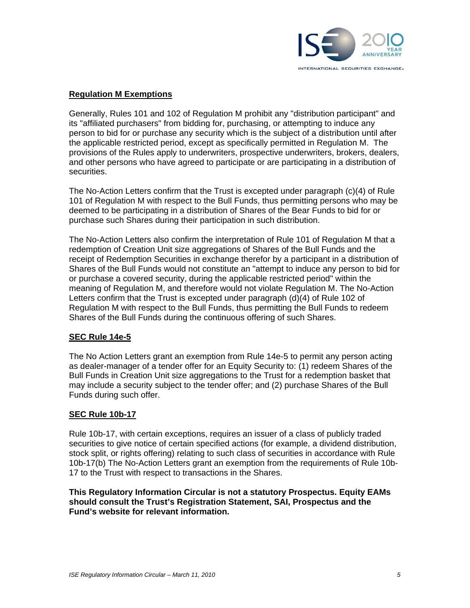

## **Regulation M Exemptions**

Generally, Rules 101 and 102 of Regulation M prohibit any "distribution participant" and its "affiliated purchasers" from bidding for, purchasing, or attempting to induce any person to bid for or purchase any security which is the subject of a distribution until after the applicable restricted period, except as specifically permitted in Regulation M. The provisions of the Rules apply to underwriters, prospective underwriters, brokers, dealers, and other persons who have agreed to participate or are participating in a distribution of securities.

The No-Action Letters confirm that the Trust is excepted under paragraph (c)(4) of Rule 101 of Regulation M with respect to the Bull Funds, thus permitting persons who may be deemed to be participating in a distribution of Shares of the Bear Funds to bid for or purchase such Shares during their participation in such distribution.

The No-Action Letters also confirm the interpretation of Rule 101 of Regulation M that a redemption of Creation Unit size aggregations of Shares of the Bull Funds and the receipt of Redemption Securities in exchange therefor by a participant in a distribution of Shares of the Bull Funds would not constitute an "attempt to induce any person to bid for or purchase a covered security, during the applicable restricted period" within the meaning of Regulation M, and therefore would not violate Regulation M. The No-Action Letters confirm that the Trust is excepted under paragraph (d)(4) of Rule 102 of Regulation M with respect to the Bull Funds, thus permitting the Bull Funds to redeem Shares of the Bull Funds during the continuous offering of such Shares.

#### **SEC Rule 14e-5**

The No Action Letters grant an exemption from Rule 14e-5 to permit any person acting as dealer-manager of a tender offer for an Equity Security to: (1) redeem Shares of the Bull Funds in Creation Unit size aggregations to the Trust for a redemption basket that may include a security subject to the tender offer; and (2) purchase Shares of the Bull Funds during such offer.

#### **SEC Rule 10b-17**

Rule 10b-17, with certain exceptions, requires an issuer of a class of publicly traded securities to give notice of certain specified actions (for example, a dividend distribution, stock split, or rights offering) relating to such class of securities in accordance with Rule 10b-17(b) The No-Action Letters grant an exemption from the requirements of Rule 10b-17 to the Trust with respect to transactions in the Shares.

**This Regulatory Information Circular is not a statutory Prospectus. Equity EAMs should consult the Trust's Registration Statement, SAI, Prospectus and the Fund's website for relevant information.**